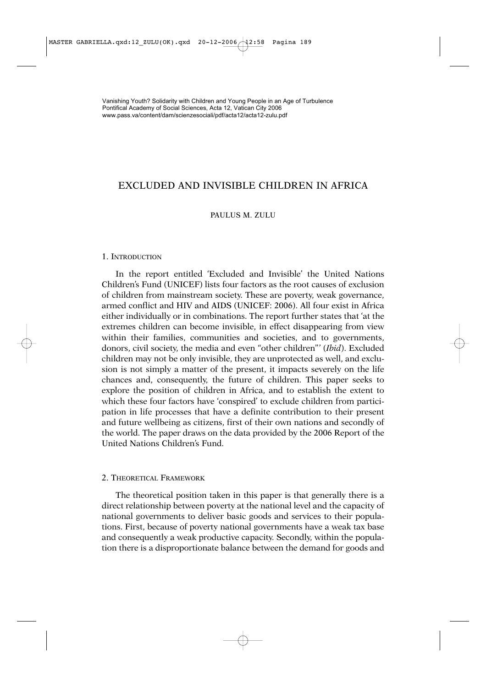# EXCLUDED AND INVISIBLE CHILDREN IN AFRICA

### PAULUS M. ZULU

#### 1. INTRODUCTION

In the report entitled 'Excluded and Invisible' the United Nations Children's Fund (UNICEF) lists four factors as the root causes of exclusion of children from mainstream society. These are poverty, weak governance, armed conflict and HIV and AIDS (UNICEF: 2006). All four exist in Africa either individually or in combinations. The report further states that 'at the extremes children can become invisible, in effect disappearing from view within their families, communities and societies, and to governments, donors, civil society, the media and even "other children"' (*Ibid*). Excluded children may not be only invisible, they are unprotected as well, and exclusion is not simply a matter of the present, it impacts severely on the life chances and, consequently, the future of children. This paper seeks to explore the position of children in Africa, and to establish the extent to which these four factors have 'conspired' to exclude children from participation in life processes that have a definite contribution to their present and future wellbeing as citizens, first of their own nations and secondly of the world. The paper draws on the data provided by the 2006 Report of the United Nations Children's Fund.

# 2. THEORETICAL FRAMEWORK

The theoretical position taken in this paper is that generally there is a direct relationship between poverty at the national level and the capacity of national governments to deliver basic goods and services to their populations. First, because of poverty national governments have a weak tax base and consequently a weak productive capacity. Secondly, within the population there is a disproportionate balance between the demand for goods and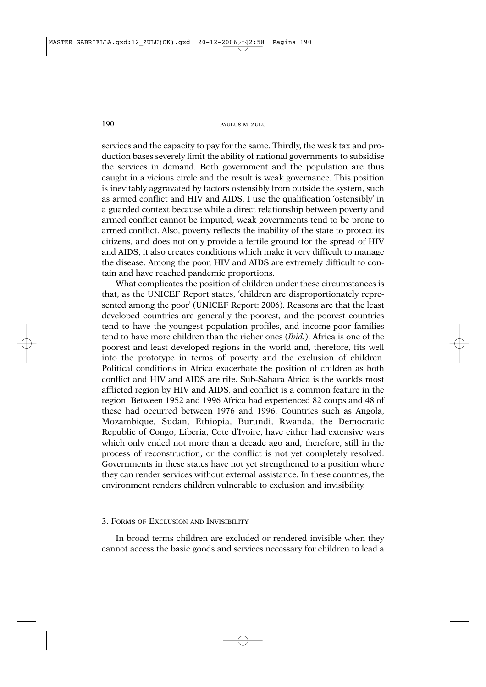services and the capacity to pay for the same. Thirdly, the weak tax and production bases severely limit the ability of national governments to subsidise the services in demand. Both government and the population are thus caught in a vicious circle and the result is weak governance. This position is inevitably aggravated by factors ostensibly from outside the system, such as armed conflict and HIV and AIDS. I use the qualification 'ostensibly' in a guarded context because while a direct relationship between poverty and armed conflict cannot be imputed, weak governments tend to be prone to armed conflict. Also, poverty reflects the inability of the state to protect its citizens, and does not only provide a fertile ground for the spread of HIV and AIDS, it also creates conditions which make it very difficult to manage the disease. Among the poor, HIV and AIDS are extremely difficult to contain and have reached pandemic proportions.

What complicates the position of children under these circumstances is that, as the UNICEF Report states, 'children are disproportionately represented among the poor' (UNICEF Report: 2006). Reasons are that the least developed countries are generally the poorest, and the poorest countries tend to have the youngest population profiles, and income-poor families tend to have more children than the richer ones (*Ibid.*). Africa is one of the poorest and least developed regions in the world and, therefore, fits well into the prototype in terms of poverty and the exclusion of children. Political conditions in Africa exacerbate the position of children as both conflict and HIV and AIDS are rife. Sub-Sahara Africa is the world's most afflicted region by HIV and AIDS, and conflict is a common feature in the region. Between 1952 and 1996 Africa had experienced 82 coups and 48 of these had occurred between 1976 and 1996. Countries such as Angola, Mozambique, Sudan, Ethiopia, Burundi, Rwanda, the Democratic Republic of Congo, Liberia, Cote d'Ivoire, have either had extensive wars which only ended not more than a decade ago and, therefore, still in the process of reconstruction, or the conflict is not yet completely resolved. Governments in these states have not yet strengthened to a position where they can render services without external assistance. In these countries, the environment renders children vulnerable to exclusion and invisibility.

#### 3. FORMS OF EXCLUSION AND INVISIBILITY

In broad terms children are excluded or rendered invisible when they cannot access the basic goods and services necessary for children to lead a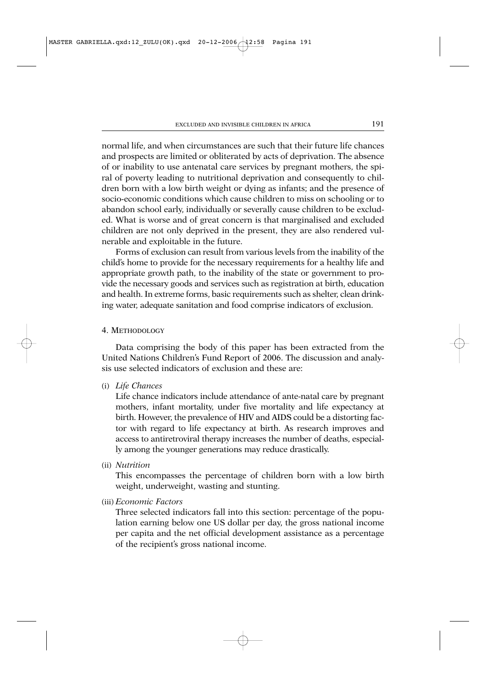normal life, and when circumstances are such that their future life chances and prospects are limited or obliterated by acts of deprivation. The absence of or inability to use antenatal care services by pregnant mothers, the spiral of poverty leading to nutritional deprivation and consequently to children born with a low birth weight or dying as infants; and the presence of socio-economic conditions which cause children to miss on schooling or to abandon school early, individually or severally cause children to be excluded. What is worse and of great concern is that marginalised and excluded children are not only deprived in the present, they are also rendered vulnerable and exploitable in the future.

Forms of exclusion can result from various levels from the inability of the child's home to provide for the necessary requirements for a healthy life and appropriate growth path, to the inability of the state or government to provide the necessary goods and services such as registration at birth, education and health. In extreme forms, basic requirements such as shelter, clean drinking water, adequate sanitation and food comprise indicators of exclusion.

### 4. METHODOLOGY

Data comprising the body of this paper has been extracted from the United Nations Children's Fund Report of 2006. The discussion and analysis use selected indicators of exclusion and these are:

(i) *Life Chances*

Life chance indicators include attendance of ante-natal care by pregnant mothers, infant mortality, under five mortality and life expectancy at birth. However, the prevalence of HIV and AIDS could be a distorting factor with regard to life expectancy at birth. As research improves and access to antiretroviral therapy increases the number of deaths, especially among the younger generations may reduce drastically.

(ii) *Nutrition*

This encompasses the percentage of children born with a low birth weight, underweight, wasting and stunting.

(iii) *Economic Factors*

Three selected indicators fall into this section: percentage of the population earning below one US dollar per day, the gross national income per capita and the net official development assistance as a percentage of the recipient's gross national income.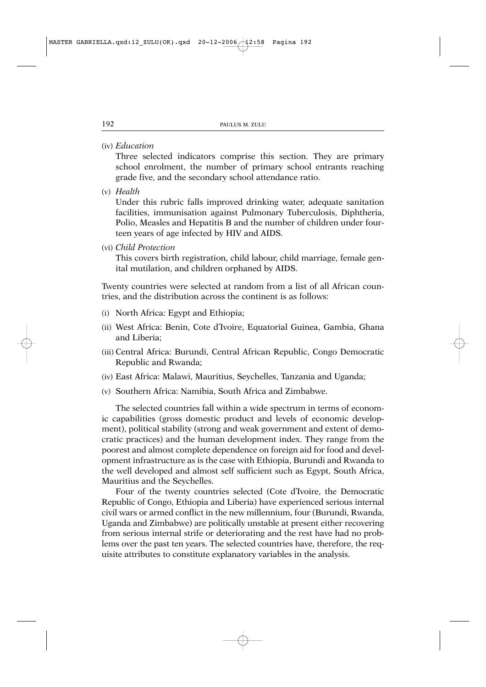(iv) *Education*

Three selected indicators comprise this section. They are primary school enrolment, the number of primary school entrants reaching grade five, and the secondary school attendance ratio.

(v) *Health*

Under this rubric falls improved drinking water, adequate sanitation facilities, immunisation against Pulmonary Tuberculosis, Diphtheria, Polio, Measles and Hepatitis B and the number of children under fourteen years of age infected by HIV and AIDS.

(vi) *Child Protection*

This covers birth registration, child labour, child marriage, female genital mutilation, and children orphaned by AIDS.

Twenty countries were selected at random from a list of all African countries, and the distribution across the continent is as follows:

- (i) North Africa: Egypt and Ethiopia;
- (ii) West Africa: Benin, Cote d'Ivoire, Equatorial Guinea, Gambia, Ghana and Liberia;
- (iii) Central Africa: Burundi, Central African Republic, Congo Democratic Republic and Rwanda;
- (iv) East Africa: Malawi, Mauritius, Seychelles, Tanzania and Uganda;
- (v) Southern Africa: Namibia, South Africa and Zimbabwe.

The selected countries fall within a wide spectrum in terms of economic capabilities (gross domestic product and levels of economic development), political stability (strong and weak government and extent of democratic practices) and the human development index. They range from the poorest and almost complete dependence on foreign aid for food and development infrastructure as is the case with Ethiopia, Burundi and Rwanda to the well developed and almost self sufficient such as Egypt, South Africa, Mauritius and the Seychelles.

Four of the twenty countries selected (Cote d'Ivoire, the Democratic Republic of Congo, Ethiopia and Liberia) have experienced serious internal civil wars or armed conflict in the new millennium, four (Burundi, Rwanda, Uganda and Zimbabwe) are politically unstable at present either recovering from serious internal strife or deteriorating and the rest have had no problems over the past ten years. The selected countries have, therefore, the requisite attributes to constitute explanatory variables in the analysis.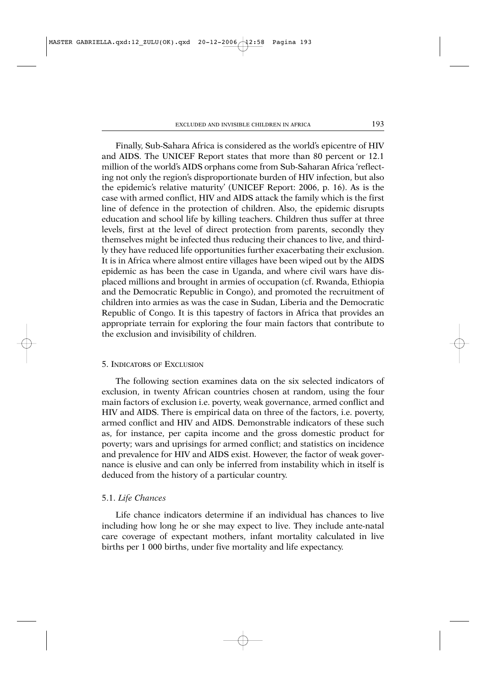Finally, Sub-Sahara Africa is considered as the world's epicentre of HIV and AIDS. The UNICEF Report states that more than 80 percent or 12.1 million of the world's AIDS orphans come from Sub-Saharan Africa 'reflecting not only the region's disproportionate burden of HIV infection, but also the epidemic's relative maturity' (UNICEF Report: 2006, p. 16). As is the case with armed conflict, HIV and AIDS attack the family which is the first line of defence in the protection of children. Also, the epidemic disrupts education and school life by killing teachers. Children thus suffer at three levels, first at the level of direct protection from parents, secondly they themselves might be infected thus reducing their chances to live, and thirdly they have reduced life opportunities further exacerbating their exclusion. It is in Africa where almost entire villages have been wiped out by the AIDS epidemic as has been the case in Uganda, and where civil wars have displaced millions and brought in armies of occupation (cf. Rwanda, Ethiopia and the Democratic Republic in Congo), and promoted the recruitment of children into armies as was the case in Sudan, Liberia and the Democratic Republic of Congo. It is this tapestry of factors in Africa that provides an appropriate terrain for exploring the four main factors that contribute to the exclusion and invisibility of children.

#### 5. INDICATORS OF EXCLUSION

The following section examines data on the six selected indicators of exclusion, in twenty African countries chosen at random, using the four main factors of exclusion i.e. poverty, weak governance, armed conflict and HIV and AIDS. There is empirical data on three of the factors, i.e. poverty, armed conflict and HIV and AIDS. Demonstrable indicators of these such as, for instance, per capita income and the gross domestic product for poverty; wars and uprisings for armed conflict; and statistics on incidence and prevalence for HIV and AIDS exist. However, the factor of weak governance is elusive and can only be inferred from instability which in itself is deduced from the history of a particular country.

## 5.1. *Life Chances*

Life chance indicators determine if an individual has chances to live including how long he or she may expect to live. They include ante-natal care coverage of expectant mothers, infant mortality calculated in live births per 1 000 births, under five mortality and life expectancy.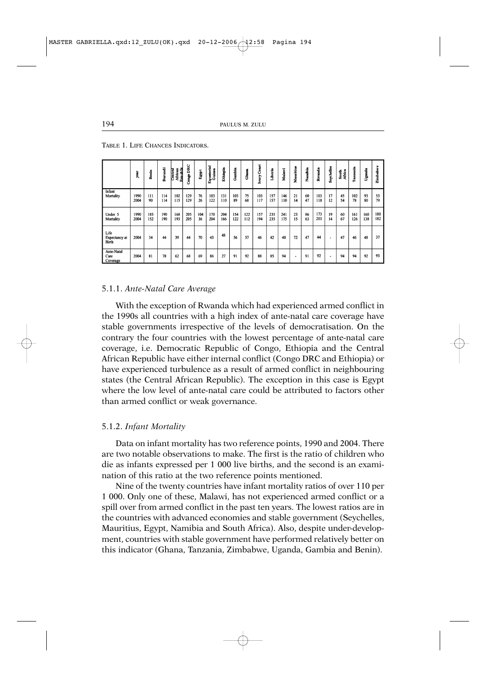|                                       | year <sub>.</sub> | Benin      | Burundi    | Reachlic<br>thican<br>H<br>entral | <b>Congo DRC</b> | Egypt     | quatorial<br>Cuires | Ethiopia   | Gambia     | Ghara      | Coast<br>.<br>Pory | Liberia    | Malawi     | Mauritius | Namibia  | Rwanda     | Seychelles               | South<br>Africa | <b>Tanzania</b> | Uganda     | Zimbabw    |
|---------------------------------------|-------------------|------------|------------|-----------------------------------|------------------|-----------|---------------------|------------|------------|------------|--------------------|------------|------------|-----------|----------|------------|--------------------------|-----------------|-----------------|------------|------------|
| Infant<br>Mortality                   | 1990<br>2004      | 111<br>90  | 114<br>114 | 102<br>115                        | 129<br>129       | 76<br>26  | 103<br>122          | 131<br>110 | 103<br>89  | 75<br>68   | 103<br>117         | 157<br>157 | 146<br>110 | 21<br>14  | 60<br>47 | 103<br>118 | 17<br>12                 | 45<br>54        | 102<br>78       | 93<br>80   | 53<br>79   |
| Under 5<br>Mortality                  | 1990<br>2004      | 185<br>152 | 190<br>190 | 168<br>193                        | 205<br>205       | 104<br>36 | 170<br>204          | 204<br>166 | 154<br>122 | 122<br>112 | 157<br>194         | 235<br>235 | 241<br>175 | 23<br>15  | 86<br>63 | 173<br>203 | 19<br>14                 | 60<br>67        | 161<br>126      | 160<br>138 | 180<br>182 |
| Life<br>Expectancy at<br><b>Birth</b> | 2004              | 34         | 44         | 39                                | 44               | 70        | 43                  | 48         | 56         | 57         | 46                 | 42         | 40         | 72        | 47       | 44         | $\overline{\phantom{a}}$ | 47              | 46              | 48         | 37         |
| Ante-Natal<br>Care<br>Coverage        | 2004              | 81         | 78         | 62                                | 68               | 69        | 86                  | 27         | 91         | 92         | 88                 | 85         | 94         |           | 91       | 92         | $\overline{\phantom{a}}$ | 94              | 94              | 92         | 93         |

TABLE 1. LIFE CHANCES INDICATORS.

### 5.1.1. *Ante-Natal Care Average*

With the exception of Rwanda which had experienced armed conflict in the 1990s all countries with a high index of ante-natal care coverage have stable governments irrespective of the levels of democratisation. On the contrary the four countries with the lowest percentage of ante-natal care coverage, i.e. Democratic Republic of Congo, Ethiopia and the Central African Republic have either internal conflict (Congo DRC and Ethiopia) or have experienced turbulence as a result of armed conflict in neighbouring states (the Central African Republic). The exception in this case is Egypt where the low level of ante-natal care could be attributed to factors other than armed conflict or weak governance.

## 5.1.2. *Infant Mortality*

Data on infant mortality has two reference points, 1990 and 2004. There are two notable observations to make. The first is the ratio of children who die as infants expressed per 1 000 live births, and the second is an examination of this ratio at the two reference points mentioned.

Nine of the twenty countries have infant mortality ratios of over 110 per 1 000. Only one of these, Malawi, has not experienced armed conflict or a spill over from armed conflict in the past ten years. The lowest ratios are in the countries with advanced economies and stable government (Seychelles, Mauritius, Egypt, Namibia and South Africa). Also, despite under-development, countries with stable government have performed relatively better on this indicator (Ghana, Tanzania, Zimbabwe, Uganda, Gambia and Benin).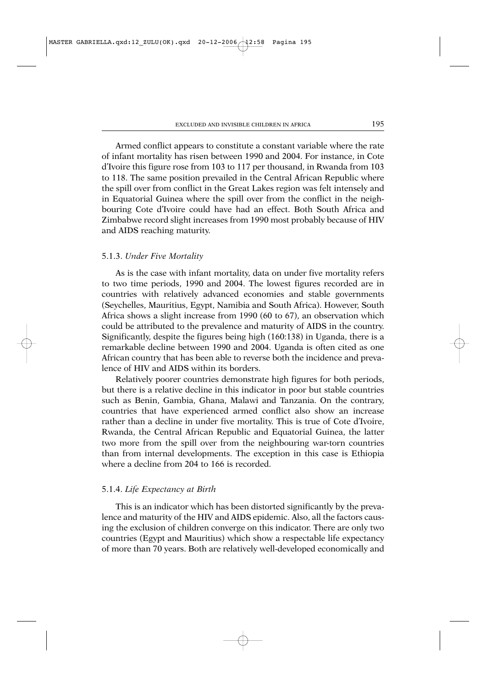Armed conflict appears to constitute a constant variable where the rate of infant mortality has risen between 1990 and 2004. For instance, in Cote d'Ivoire this figure rose from 103 to 117 per thousand, in Rwanda from 103 to 118. The same position prevailed in the Central African Republic where the spill over from conflict in the Great Lakes region was felt intensely and in Equatorial Guinea where the spill over from the conflict in the neighbouring Cote d'Ivoire could have had an effect. Both South Africa and Zimbabwe record slight increases from 1990 most probably because of HIV and AIDS reaching maturity.

#### 5.1.3. *Under Five Mortality*

As is the case with infant mortality, data on under five mortality refers to two time periods, 1990 and 2004. The lowest figures recorded are in countries with relatively advanced economies and stable governments (Seychelles, Mauritius, Egypt, Namibia and South Africa). However, South Africa shows a slight increase from 1990 (60 to 67), an observation which could be attributed to the prevalence and maturity of AIDS in the country. Significantly, despite the figures being high (160:138) in Uganda, there is a remarkable decline between 1990 and 2004. Uganda is often cited as one African country that has been able to reverse both the incidence and prevalence of HIV and AIDS within its borders.

Relatively poorer countries demonstrate high figures for both periods, but there is a relative decline in this indicator in poor but stable countries such as Benin, Gambia, Ghana, Malawi and Tanzania. On the contrary, countries that have experienced armed conflict also show an increase rather than a decline in under five mortality. This is true of Cote d'Ivoire, Rwanda, the Central African Republic and Equatorial Guinea, the latter two more from the spill over from the neighbouring war-torn countries than from internal developments. The exception in this case is Ethiopia where a decline from 204 to 166 is recorded.

#### 5.1.4. *Life Expectancy at Birth*

This is an indicator which has been distorted significantly by the prevalence and maturity of the HIV and AIDS epidemic. Also, all the factors causing the exclusion of children converge on this indicator. There are only two countries (Egypt and Mauritius) which show a respectable life expectancy of more than 70 years. Both are relatively well-developed economically and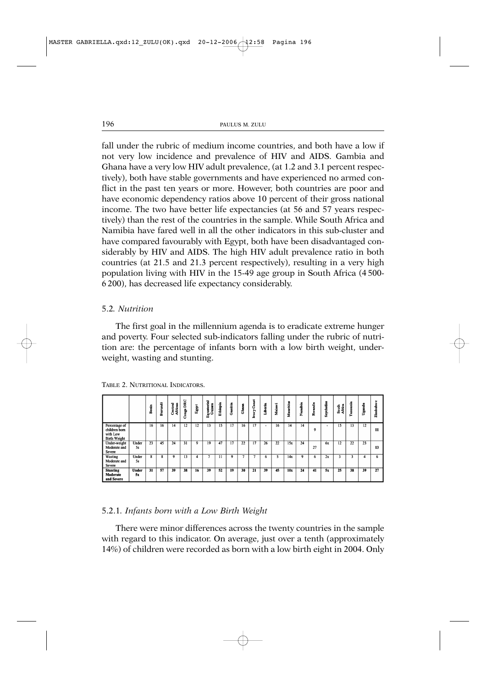fall under the rubric of medium income countries, and both have a low if not very low incidence and prevalence of HIV and AIDS. Gambia and Ghana have a very low HIV adult prevalence, (at 1.2 and 3.1 percent respectively), both have stable governments and have experienced no armed conflict in the past ten years or more. However, both countries are poor and have economic dependency ratios above 10 percent of their gross national income. The two have better life expectancies (at 56 and 57 years respectively) than the rest of the countries in the sample. While South Africa and Namibia have fared well in all the other indicators in this sub-cluster and have compared favourably with Egypt, both have been disadvantaged considerably by HIV and AIDS. The high HIV adult prevalence ratio in both countries (at 21.5 and 21.3 percent respectively), resulting in a very high population living with HIV in the 15-49 age group in South Africa (4 500- 6 200), has decreased life expectancy considerably.

# 5.2*. Nutrition*

The first goal in the millennium agenda is to eradicate extreme hunger and poverty. Four selected sub-indicators falling under the rubric of nutrition are: the percentage of infants born with a low birth weight, underweight, wasting and stunting.

Uganda

 $\overline{23}$ 13

38  $\overline{39}$   $\mathbf{u}$ 

 $\overline{27}$ 

| ADLL 2. INCHAMIQAL INDICATORS.                                    |             |       |         |                    |           |       |                          |          |        |       |                       |                          |        |                |         |           |            |                        |                         |
|-------------------------------------------------------------------|-------------|-------|---------|--------------------|-----------|-------|--------------------------|----------|--------|-------|-----------------------|--------------------------|--------|----------------|---------|-----------|------------|------------------------|-------------------------|
|                                                                   |             | Benin | Burundi | Central<br>African | Congo DRC | Egypt | quatorial<br>Guinea<br>ū | Ethiopia | Gambia | Chana | Coast<br><b>Ivory</b> | Liberia                  | Malawi | ritius<br>Maur | Namibia | anda<br>à | Seychelles | South<br><b>Africa</b> | Tanania                 |
| Percentage of<br>children born<br>with Low<br><b>Birth Weight</b> |             | 16    | 16      | 14                 | 12        | 12    | 13                       | 15       | 17     | 16    | 17                    | $\overline{\phantom{a}}$ | 16     | 14             | 14      | ۰         |            | 15                     | 13                      |
| Under-weight<br>Moderate and<br>Severe                            | Under<br>5s | 23    | 45      | 24                 | 31        | 9     | 19                       | 47       | 17     | 22    | 17                    | 26                       | 22     | 15x            | 24      | 27        | 6x         | 12                     | $\overline{22}$         |
| Wasting<br>Moderate and<br>Severe                                 | Under<br>5s | 8     | ጸ       | 9                  | 13        | 4     |                          | 11       | 9      |       |                       | 6                        |        | 14x            | 9       | 6         | 2x         |                        | $\overline{\mathbf{3}}$ |

52

TABLE 2. NUTRITIONAL INDICATORS

Unde

 $51$ 

31

**Stunting** 

Moderate

and Sever

### 5.2.1*. Infants born with a Low Birth Weight*

There were minor differences across the twenty countries in the sample with regard to this indicator. On average, just over a tenth (approximately 14%) of children were recorded as born with a low birth eight in 2004. Only

21

 $10<sub>2</sub>$ 24 41 51 25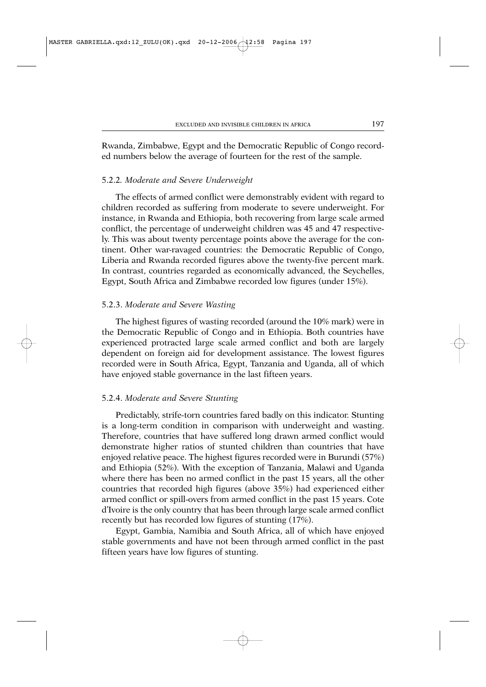Rwanda, Zimbabwe, Egypt and the Democratic Republic of Congo recorded numbers below the average of fourteen for the rest of the sample.

### 5.2.2*. Moderate and Severe Underweight*

The effects of armed conflict were demonstrably evident with regard to children recorded as suffering from moderate to severe underweight. For instance, in Rwanda and Ethiopia, both recovering from large scale armed conflict, the percentage of underweight children was 45 and 47 respectively. This was about twenty percentage points above the average for the continent. Other war-ravaged countries: the Democratic Republic of Congo, Liberia and Rwanda recorded figures above the twenty-five percent mark. In contrast, countries regarded as economically advanced, the Seychelles, Egypt, South Africa and Zimbabwe recorded low figures (under 15%).

### 5.2.3. *Moderate and Severe Wasting*

The highest figures of wasting recorded (around the 10% mark) were in the Democratic Republic of Congo and in Ethiopia. Both countries have experienced protracted large scale armed conflict and both are largely dependent on foreign aid for development assistance. The lowest figures recorded were in South Africa, Egypt, Tanzania and Uganda, all of which have enjoyed stable governance in the last fifteen years.

#### 5.2.4. *Moderate and Severe Stunting*

Predictably, strife-torn countries fared badly on this indicator. Stunting is a long-term condition in comparison with underweight and wasting. Therefore, countries that have suffered long drawn armed conflict would demonstrate higher ratios of stunted children than countries that have enjoyed relative peace. The highest figures recorded were in Burundi (57%) and Ethiopia (52%). With the exception of Tanzania, Malawi and Uganda where there has been no armed conflict in the past 15 years, all the other countries that recorded high figures (above 35%) had experienced either armed conflict or spill-overs from armed conflict in the past 15 years. Cote d'Ivoire is the only country that has been through large scale armed conflict recently but has recorded low figures of stunting (17%).

Egypt, Gambia, Namibia and South Africa, all of which have enjoyed stable governments and have not been through armed conflict in the past fifteen years have low figures of stunting.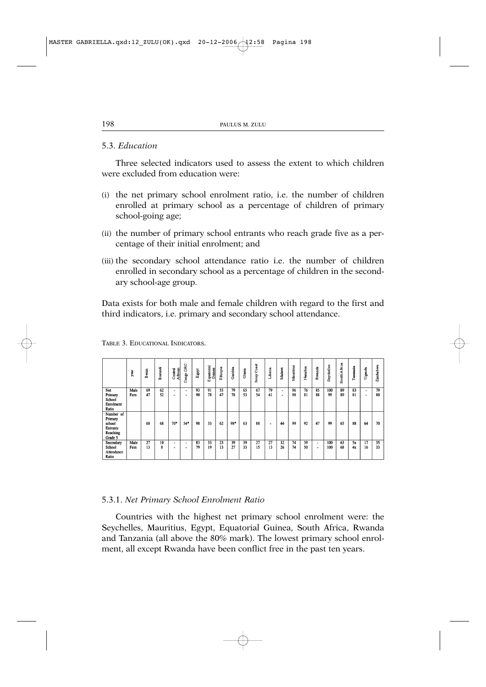# 5.3. *Education*

Three selected indicators used to assess the extent to which children were excluded from education were:

- (i) the net primary school enrolment ratio, i.e. the number of children enrolled at primary school as a percentage of children of primary school-going age;
- (ii) the number of primary school entrants who reach grade five as a percentage of their initial enrolment; and
- (iii) the secondary school attendance ratio i.e. the number of children enrolled in secondary school as a percentage of children in the secondary school-age group.

Data exists for both male and female children with regard to the first and third indicators, i.e. primary and secondary school attendance.

|                                                                          | year        | enin<br>Φ | Burundi  | African<br>entral<br>ΰ | DRC<br>ongo<br>Ō                                     | Egypt    | Equatorial<br>Guinea | Ethiopia | Gambia   | Ghana    | oast<br>ΰ<br>lvory | Liberia  | Malawi                              | Mauritius | Namibia  | Rwanda   | Seychelles | frica<br>ë<br>South. | Tanzania | Uganda                                               | Zimbabwe |
|--------------------------------------------------------------------------|-------------|-----------|----------|------------------------|------------------------------------------------------|----------|----------------------|----------|----------|----------|--------------------|----------|-------------------------------------|-----------|----------|----------|------------|----------------------|----------|------------------------------------------------------|----------|
| Net<br>Primary<br>School<br>Enrolment<br>Ratio                           | Male<br>Fem | 69<br>47  | 62<br>52 | ۰<br>۰                 | $\overline{\phantom{a}}$<br>$\overline{\phantom{a}}$ | 93<br>90 | 91<br>78             | 55<br>47 | 79<br>78 | 65<br>53 | 67<br>54           | 79<br>61 | $\overline{\phantom{a}}$<br>$\cdot$ | 96<br>98  | 76<br>81 | 85<br>88 | 100<br>99  | 89<br>89             | 83<br>81 | $\overline{\phantom{a}}$<br>$\overline{\phantom{a}}$ | 79<br>80 |
| Number of<br>Primary<br>school<br><b>Entrants</b><br>Reaching<br>Grade 5 |             | 68        | 68       | $70*$                  | 54*                                                  | 98       | 33                   | 62       | 98*      | 63       | 88                 | ٠        | 44                                  | 99        | 92       | 47       | 99         | 65                   | 88       | 64                                                   | 70       |
| Secondary<br>School<br>Attendance<br>Ratio                               | Male<br>Fem | 27<br>13  | 10<br>8  | $\blacksquare$<br>٠    | $\overline{\phantom{a}}$<br>$\overline{\phantom{a}}$ | 83<br>79 | 33<br>19             | 23<br>13 | 39<br>27 | 39<br>33 | 27<br>15           | 27<br>13 | 32<br>26                            | 74<br>74  | 39<br>50 | ٠<br>٠   | 100<br>100 | 63<br>68             | 5x<br>4x | 17<br>16                                             | 35<br>33 |

TABLE 3. EDUCATIONAL INDICATORS.

#### 5.3.1. *Net Primary School Enrolment Ratio*

Countries with the highest net primary school enrolment were: the Seychelles, Mauritius, Egypt, Equatorial Guinea, South Africa, Rwanda and Tanzania (all above the 80% mark). The lowest primary school enrolment, all except Rwanda have been conflict free in the past ten years.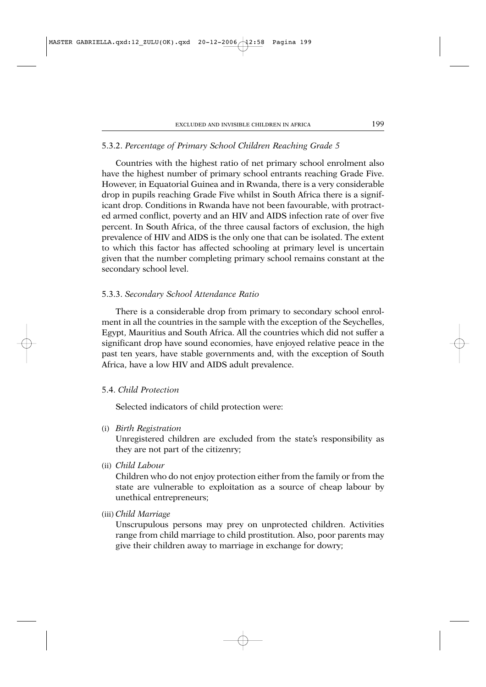# 5.3.2. *Percentage of Primary School Children Reaching Grade 5*

Countries with the highest ratio of net primary school enrolment also have the highest number of primary school entrants reaching Grade Five. However, in Equatorial Guinea and in Rwanda, there is a very considerable drop in pupils reaching Grade Five whilst in South Africa there is a significant drop. Conditions in Rwanda have not been favourable, with protracted armed conflict, poverty and an HIV and AIDS infection rate of over five percent. In South Africa, of the three causal factors of exclusion, the high prevalence of HIV and AIDS is the only one that can be isolated. The extent to which this factor has affected schooling at primary level is uncertain given that the number completing primary school remains constant at the secondary school level.

### 5.3.3. *Secondary School Attendance Ratio*

There is a considerable drop from primary to secondary school enrolment in all the countries in the sample with the exception of the Seychelles, Egypt, Mauritius and South Africa. All the countries which did not suffer a significant drop have sound economies, have enjoyed relative peace in the past ten years, have stable governments and, with the exception of South Africa, have a low HIV and AIDS adult prevalence.

# 5.4. *Child Protection*

Selected indicators of child protection were:

(i) *Birth Registration*

Unregistered children are excluded from the state's responsibility as they are not part of the citizenry;

(ii) *Child Labour*

Children who do not enjoy protection either from the family or from the state are vulnerable to exploitation as a source of cheap labour by unethical entrepreneurs;

(iii) *Child Marriage*

Unscrupulous persons may prey on unprotected children. Activities range from child marriage to child prostitution. Also, poor parents may give their children away to marriage in exchange for dowry;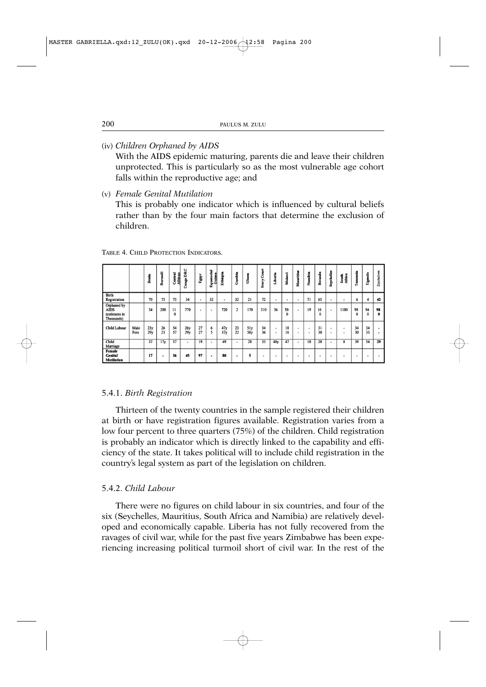(iv) *Children Orphaned by AIDS*

With the AIDS epidemic maturing, parents die and leave their children unprotected. This is particularly so as the most vulnerable age cohort falls within the reproductive age; and

(v) *Female Genital Mutilation*

This is probably one indicator which is influenced by cultural beliefs rather than by the four main factors that determine the exclusion of children.

|                                                           |             | Benin      | Burundi         | entral<br>African<br>ο | Congo DRC         | Egypt    | quatorial<br>Guinea<br>ω | Ethiopia                 | Gambia         | <b>Ghare</b> | Coast<br><b>Fana</b> | Liberia                       | Malawi         | Mauritius | Namibia | Rwanda         | Seychelles               | South<br>Africa | Tanzania       | Uganda         | Zimbabwe |
|-----------------------------------------------------------|-------------|------------|-----------------|------------------------|-------------------|----------|--------------------------|--------------------------|----------------|--------------|----------------------|-------------------------------|----------------|-----------|---------|----------------|--------------------------|-----------------|----------------|----------------|----------|
| <b>Birth</b><br>Registration                              |             | 70         | 75              | 73                     | 34                | ۰        | 32                       | $\overline{\phantom{a}}$ | 32             | 21           | 72                   | ٠                             | ۰              | ٠         | 71      | 65             | $\overline{\phantom{a}}$ | ۰               | 6              | 4              | 42       |
| Orphaned by<br><b>AIDS</b><br>(estimates in<br>Thousands) |             | 34         | 200             | $_{11}$<br>$\bf{0}$    | 770               | ۰        | ٠                        | 720                      | $\overline{c}$ | 170          | 310                  | 36                            | 50<br>$\Omega$ | ۰.        | 19      | 16<br>$\Omega$ | $\overline{\phantom{a}}$ | 1100            | 98<br>$\Omega$ | 94<br>$\bf{0}$ | 98<br>0  |
| <b>Child Labour</b>                                       | Male<br>Fem | 23y<br>29y | 26<br>23        | 54<br>57               | <b>26y</b><br>29y | 27<br>27 | 6<br>5                   | 47y<br>37y               | 23<br>22       | 5ly<br>58y   | 34<br>36             | ٠<br>$\overline{\phantom{a}}$ | 18<br>16       | ٠<br>٠    | ۰<br>۰  | 31<br>30       | $\,$<br>$\cdot$          | ۰<br>۰          | 34<br>30       | 34<br>33       | ٠        |
| Child<br>Marriage                                         |             | 37         | 17 <sub>y</sub> | 57                     | ٠                 | 19       | ۰                        | 49                       | ۰              | 28           | 33                   | 48y                           | 47             | ۰.        | 10      | 20             |                          | 8               | 39             | 54             | 29       |
| Female<br><b>Genital</b><br><b>Mutilation</b>             |             | 17         | ٠               | 36                     | 45                | 97       | ۰                        | 80                       | ۰              | 5            | ۰                    | ۰                             | ٠              | ۰         | ۰       | ۰              |                          | ۰               | ۰              |                | ۰        |

TABLE 4. CHILD PROTECTION INDICATORS.

### 5.4.1. *Birth Registration*

Thirteen of the twenty countries in the sample registered their children at birth or have registration figures available. Registration varies from a low four percent to three quarters (75%) of the children. Child registration is probably an indicator which is directly linked to the capability and efficiency of the state. It takes political will to include child registration in the country's legal system as part of the legislation on children.

# 5.4.2. *Child Labour*

There were no figures on child labour in six countries, and four of the six (Seychelles, Mauritius, South Africa and Namibia) are relatively developed and economically capable. Liberia has not fully recovered from the ravages of civil war, while for the past five years Zimbabwe has been experiencing increasing political turmoil short of civil war. In the rest of the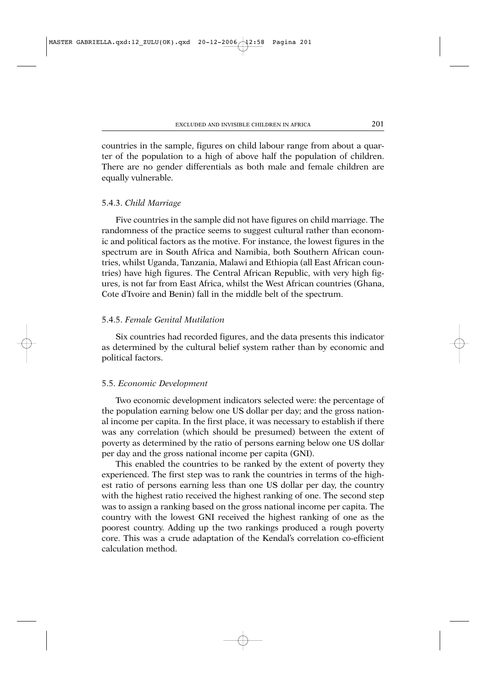countries in the sample, figures on child labour range from about a quarter of the population to a high of above half the population of children. There are no gender differentials as both male and female children are equally vulnerable.

### 5.4.3. *Child Marriage*

Five countries in the sample did not have figures on child marriage. The randomness of the practice seems to suggest cultural rather than economic and political factors as the motive. For instance, the lowest figures in the spectrum are in South Africa and Namibia, both Southern African countries, whilst Uganda, Tanzania, Malawi and Ethiopia (all East African countries) have high figures. The Central African Republic, with very high figures, is not far from East Africa, whilst the West African countries (Ghana, Cote d'Ivoire and Benin) fall in the middle belt of the spectrum.

# 5.4.5. *Female Genital Mutilation*

Six countries had recorded figures, and the data presents this indicator as determined by the cultural belief system rather than by economic and political factors.

#### 5.5. *Economic Development*

Two economic development indicators selected were: the percentage of the population earning below one US dollar per day; and the gross national income per capita. In the first place, it was necessary to establish if there was any correlation (which should be presumed) between the extent of poverty as determined by the ratio of persons earning below one US dollar per day and the gross national income per capita (GNI).

This enabled the countries to be ranked by the extent of poverty they experienced. The first step was to rank the countries in terms of the highest ratio of persons earning less than one US dollar per day, the country with the highest ratio received the highest ranking of one. The second step was to assign a ranking based on the gross national income per capita. The country with the lowest GNI received the highest ranking of one as the poorest country. Adding up the two rankings produced a rough poverty core. This was a crude adaptation of the Kendal's correlation co-efficient calculation method.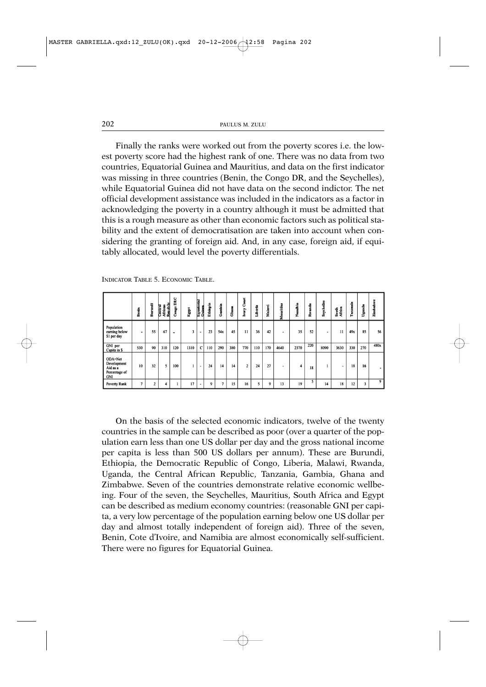Finally the ranks were worked out from the poverty scores i.e. the lowest poverty score had the highest rank of one. There was no data from two countries, Equatorial Guinea and Mauritius, and data on the first indicator was missing in three countries (Benin, the Congo DR, and the Seychelles), while Equatorial Guinea did not have data on the second indictor. The net official development assistance was included in the indicators as a factor in acknowledging the poverty in a country although it must be admitted that this is a rough measure as other than economic factors such as political stability and the extent of democratisation are taken into account when considering the granting of foreign aid. And, in any case, foreign aid, if equitably allocated, would level the poverty differentials.

|                                                            | Bernin         | Burundi        | African<br>Central<br>Republi | DRC<br>$C$ angu          | Egypt | Equatorial<br>Cuine<br>C | Ethiopia | Gambia       | Ghama | Coast<br><b>Ivary</b> | Liberia | Malawi | Mauritius | Namibia | ů<br>å | sychelles<br>ŭ | South<br>Africa | Tamzania | Uganda | Zimbabwe |
|------------------------------------------------------------|----------------|----------------|-------------------------------|--------------------------|-------|--------------------------|----------|--------------|-------|-----------------------|---------|--------|-----------|---------|--------|----------------|-----------------|----------|--------|----------|
| Population<br>earning below<br>\$1 per day                 |                | 55             | 67                            | $\overline{\phantom{0}}$ | 3     | ٠                        | 23       | 54x          | 45    | $\mathbf{1}$          | 36      | 42     | ٠         | 35      | 52     | ٠              | 11              | 49x      | 85     | 56       |
| GNI per<br>Capita in \$                                    | 530            | 90             | 310                           | 120                      | 1310  | $\mathbf{C}$             | 110      | 290          | 380   | 770                   | 110     | 170    | 4640      | 2370    | 220    | 8090           | 3630            | 330      | 270    | 480x     |
| ODA=Net<br>Development<br>Aid as a<br>Percentage of<br>GNI | 10             | 32             | 5                             | 100                      |       | $\overline{\phantom{a}}$ | 24       | 14           | 14    | $\overline{2}$        | 24      | 27     | ۰         | 4       | 18     |                |                 | 18       | 16     |          |
| Poverty Rank                                               | $\overline{7}$ | $\overline{2}$ | 4                             |                          | 17    | $\overline{\phantom{a}}$ | 9        | $\mathbf{a}$ | 15    | 16                    | 5       | 9      | 13        | 19      | 5      | 14             | 18              | 12       | 3      | 9        |

INDICATOR TABLE 5. ECONOMIC TABLE.

On the basis of the selected economic indicators, twelve of the twenty countries in the sample can be described as poor (over a quarter of the population earn less than one US dollar per day and the gross national income per capita is less than 500 US dollars per annum). These are Burundi, Ethiopia, the Democratic Republic of Congo, Liberia, Malawi, Rwanda, Uganda, the Central African Republic, Tanzania, Gambia, Ghana and Zimbabwe. Seven of the countries demonstrate relative economic wellbeing. Four of the seven, the Seychelles, Mauritius, South Africa and Egypt can be described as medium economy countries: (reasonable GNI per capita, a very low percentage of the population earning below one US dollar per day and almost totally independent of foreign aid). Three of the seven, Benin, Cote d'Ivoire, and Namibia are almost economically self-sufficient. There were no figures for Equatorial Guinea.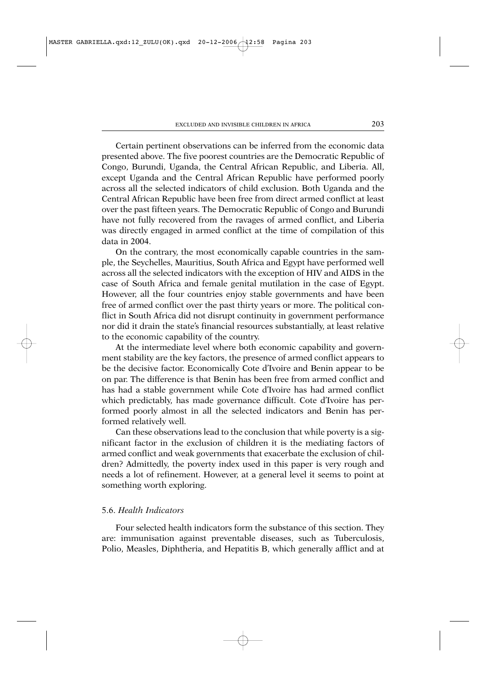Certain pertinent observations can be inferred from the economic data presented above. The five poorest countries are the Democratic Republic of Congo, Burundi, Uganda, the Central African Republic, and Liberia. All, except Uganda and the Central African Republic have performed poorly across all the selected indicators of child exclusion. Both Uganda and the Central African Republic have been free from direct armed conflict at least over the past fifteen years. The Democratic Republic of Congo and Burundi have not fully recovered from the ravages of armed conflict, and Liberia was directly engaged in armed conflict at the time of compilation of this data in 2004.

On the contrary, the most economically capable countries in the sample, the Seychelles, Mauritius, South Africa and Egypt have performed well across all the selected indicators with the exception of HIV and AIDS in the case of South Africa and female genital mutilation in the case of Egypt. However, all the four countries enjoy stable governments and have been free of armed conflict over the past thirty years or more. The political conflict in South Africa did not disrupt continuity in government performance nor did it drain the state's financial resources substantially, at least relative to the economic capability of the country.

At the intermediate level where both economic capability and government stability are the key factors, the presence of armed conflict appears to be the decisive factor. Economically Cote d'Ivoire and Benin appear to be on par. The difference is that Benin has been free from armed conflict and has had a stable government while Cote d'Ivoire has had armed conflict which predictably, has made governance difficult. Cote d'Ivoire has performed poorly almost in all the selected indicators and Benin has performed relatively well.

Can these observations lead to the conclusion that while poverty is a significant factor in the exclusion of children it is the mediating factors of armed conflict and weak governments that exacerbate the exclusion of children? Admittedly, the poverty index used in this paper is very rough and needs a lot of refinement. However, at a general level it seems to point at something worth exploring.

# 5.6. *Health Indicators*

Four selected health indicators form the substance of this section. They are: immunisation against preventable diseases, such as Tuberculosis, Polio, Measles, Diphtheria, and Hepatitis B, which generally afflict and at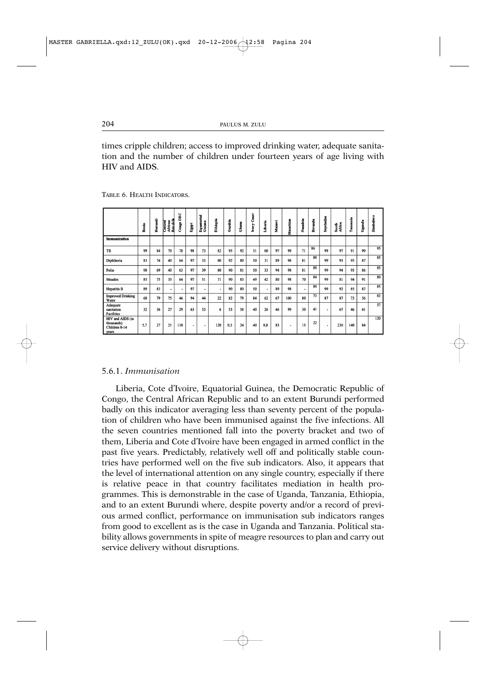times cripple children; access to improved drinking water, adequate sanitation and the number of children under fourteen years of age living with HIV and AIDS.

|                                                          | Benin | Burundi | African<br>Central<br>Renabli | Congo DRC | Ēgpi | Equatorial<br>Guinea | Ethiopia | Gambia | Ghama | Coast<br><b>Ivary</b> | Liberia | Malawi | Mauritius | amilia<br>ž | Rwanda | Seychelles | South<br>Africa | Tanzania | Uganda | Zimbabwe        |
|----------------------------------------------------------|-------|---------|-------------------------------|-----------|------|----------------------|----------|--------|-------|-----------------------|---------|--------|-----------|-------------|--------|------------|-----------------|----------|--------|-----------------|
| Immunization                                             |       |         |                               |           |      |                      |          |        |       |                       |         |        |           |             |        |            |                 |          |        |                 |
| TB                                                       | 99    | 84      | 70                            | 78        | 98   | 73                   | 82       | 95     | 92    | 51                    | 60      | 97     | 99        | 71          | 86     | 99         | 97              | 91       | 99     | $\overline{95}$ |
| Diphtheria                                               | 83    | 74      | 40                            | 64        | 97   | 33                   | 80       | 92     | 80    | 50                    | 31      | 89     | 98        | 81          | 89     | 99         | 93              | 95       | 87     | $\overline{85}$ |
| Polio                                                    | 98    | 69      | 40                            | 63        | 97   | 39                   | 80       | 90     | 81    | 50                    | 33      | 94     | 98        | 81          | 89     | 99         | 94              | 95       | 86     | 85              |
| Measles                                                  | 85    | 75      | 35                            | 64        | 97   | 51                   | 71       | 90     | 83    | 49                    | 42      | 80     | 98        | 70          | 84     | 99         | 81              | 94       | 91     | 80              |
| <b>Hepatitis B</b>                                       | 89    | 83      | ٠                             | ٠         | 97   | ٠                    | ٠        | 90     | 80    | 50                    | ۰       | 89     | 98        | ۰           | 89     | 99         | 92              | 85       | 87     | 85              |
| <b>Improved Drinking</b><br>Water                        | 68    | 79      | 75                            | 46        | 94   | 44                   | 22       | 82     | 79    | 84                    | 62      | 67     | 100       | 80          | 73     | 87         | 87              | 73       | 56     | 83              |
| Adequate<br>sanitation<br><b>Facilities</b>              | 32    | 36      | 27                            | 29        | 63   | 53                   | 6        | 53     | 58    | 40                    | 26      | 46     | 99        | 30          | 41     | ۰          | 67              | 46       | 41     | $\overline{57}$ |
| HIV and AIDS (in<br>thousands)<br>Children 0-14<br>years | 5,7   | 27      | 21                            | 110       | ٠    | ٠                    | 120      | 0,5    | 24    | 40                    | 8,0     | 83     | ٠         | 15          | 22     | ٠          | 230             | 140      | 84     | 120             |

TABLE 6. HEALTH INDICATORS.

# 5.6.1. *Immunisation*

Liberia, Cote d'Ivoire, Equatorial Guinea, the Democratic Republic of Congo, the Central African Republic and to an extent Burundi performed badly on this indicator averaging less than seventy percent of the population of children who have been immunised against the five infections. All the seven countries mentioned fall into the poverty bracket and two of them, Liberia and Cote d'Ivoire have been engaged in armed conflict in the past five years. Predictably, relatively well off and politically stable countries have performed well on the five sub indicators. Also, it appears that the level of international attention on any single country, especially if there is relative peace in that country facilitates mediation in health programmes. This is demonstrable in the case of Uganda, Tanzania, Ethiopia, and to an extent Burundi where, despite poverty and/or a record of previous armed conflict, performance on immunisation sub indicators ranges from good to excellent as is the case in Uganda and Tanzania. Political stability allows governments in spite of meagre resources to plan and carry out service delivery without disruptions.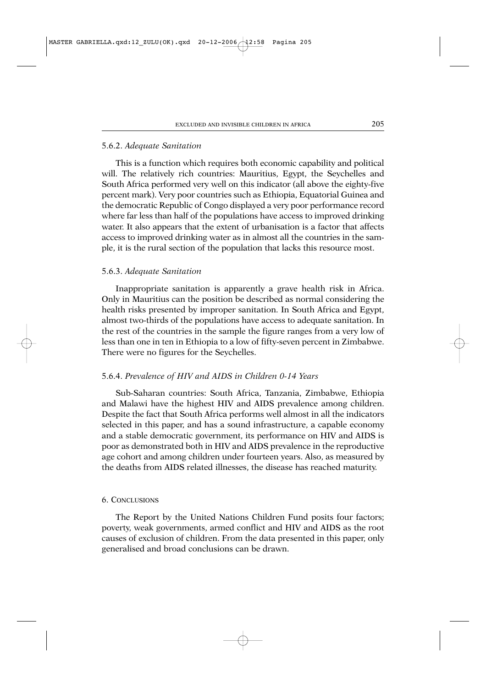#### 5.6.2. *Adequate Sanitation*

This is a function which requires both economic capability and political will. The relatively rich countries: Mauritius, Egypt, the Seychelles and South Africa performed very well on this indicator (all above the eighty-five percent mark). Very poor countries such as Ethiopia, Equatorial Guinea and the democratic Republic of Congo displayed a very poor performance record where far less than half of the populations have access to improved drinking water. It also appears that the extent of urbanisation is a factor that affects access to improved drinking water as in almost all the countries in the sample, it is the rural section of the population that lacks this resource most.

#### 5.6.3. *Adequate Sanitation*

Inappropriate sanitation is apparently a grave health risk in Africa. Only in Mauritius can the position be described as normal considering the health risks presented by improper sanitation. In South Africa and Egypt, almost two-thirds of the populations have access to adequate sanitation. In the rest of the countries in the sample the figure ranges from a very low of less than one in ten in Ethiopia to a low of fifty-seven percent in Zimbabwe. There were no figures for the Seychelles.

# 5.6.4. *Prevalence of HIV and AIDS in Children 0-14 Years*

Sub-Saharan countries: South Africa, Tanzania, Zimbabwe, Ethiopia and Malawi have the highest HIV and AIDS prevalence among children. Despite the fact that South Africa performs well almost in all the indicators selected in this paper, and has a sound infrastructure, a capable economy and a stable democratic government, its performance on HIV and AIDS is poor as demonstrated both in HIV and AIDS prevalence in the reproductive age cohort and among children under fourteen years. Also, as measured by the deaths from AIDS related illnesses, the disease has reached maturity.

#### 6. CONCLUSIONS

The Report by the United Nations Children Fund posits four factors; poverty, weak governments, armed conflict and HIV and AIDS as the root causes of exclusion of children. From the data presented in this paper, only generalised and broad conclusions can be drawn.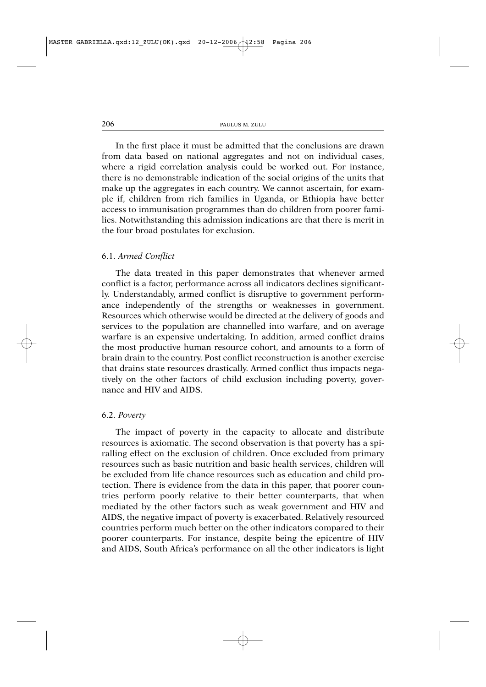In the first place it must be admitted that the conclusions are drawn from data based on national aggregates and not on individual cases, where a rigid correlation analysis could be worked out. For instance, there is no demonstrable indication of the social origins of the units that make up the aggregates in each country. We cannot ascertain, for example if, children from rich families in Uganda, or Ethiopia have better access to immunisation programmes than do children from poorer families. Notwithstanding this admission indications are that there is merit in the four broad postulates for exclusion.

#### 6.1. *Armed Conflict*

The data treated in this paper demonstrates that whenever armed conflict is a factor, performance across all indicators declines significantly. Understandably, armed conflict is disruptive to government performance independently of the strengths or weaknesses in government. Resources which otherwise would be directed at the delivery of goods and services to the population are channelled into warfare, and on average warfare is an expensive undertaking. In addition, armed conflict drains the most productive human resource cohort, and amounts to a form of brain drain to the country. Post conflict reconstruction is another exercise that drains state resources drastically. Armed conflict thus impacts negatively on the other factors of child exclusion including poverty, governance and HIV and AIDS.

### 6.2. *Poverty*

The impact of poverty in the capacity to allocate and distribute resources is axiomatic. The second observation is that poverty has a spiralling effect on the exclusion of children. Once excluded from primary resources such as basic nutrition and basic health services, children will be excluded from life chance resources such as education and child protection. There is evidence from the data in this paper, that poorer countries perform poorly relative to their better counterparts, that when mediated by the other factors such as weak government and HIV and AIDS, the negative impact of poverty is exacerbated. Relatively resourced countries perform much better on the other indicators compared to their poorer counterparts. For instance, despite being the epicentre of HIV and AIDS, South Africa's performance on all the other indicators is light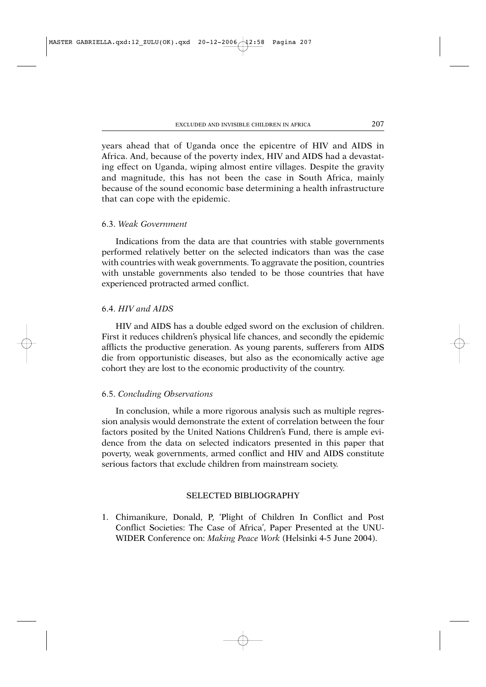years ahead that of Uganda once the epicentre of HIV and AIDS in Africa. And, because of the poverty index, HIV and AIDS had a devastating effect on Uganda, wiping almost entire villages. Despite the gravity and magnitude, this has not been the case in South Africa, mainly because of the sound economic base determining a health infrastructure that can cope with the epidemic.

# 6.3. *Weak Government*

Indications from the data are that countries with stable governments performed relatively better on the selected indicators than was the case with countries with weak governments. To aggravate the position, countries with unstable governments also tended to be those countries that have experienced protracted armed conflict.

# 6.4. *HIV and AIDS*

HIV and AIDS has a double edged sword on the exclusion of children. First it reduces children's physical life chances, and secondly the epidemic afflicts the productive generation. As young parents, sufferers from AIDS die from opportunistic diseases, but also as the economically active age cohort they are lost to the economic productivity of the country.

### 6.5. *Concluding Observations*

In conclusion, while a more rigorous analysis such as multiple regression analysis would demonstrate the extent of correlation between the four factors posited by the United Nations Children's Fund, there is ample evidence from the data on selected indicators presented in this paper that poverty, weak governments, armed conflict and HIV and AIDS constitute serious factors that exclude children from mainstream society.

# SELECTED BIBLIOGRAPHY

1. Chimanikure, Donald, P, 'Plight of Children In Conflict and Post Conflict Societies: The Case of Africa', Paper Presented at the UNU-WIDER Conference on: *Making Peace Work* (Helsinki 4-5 June 2004).